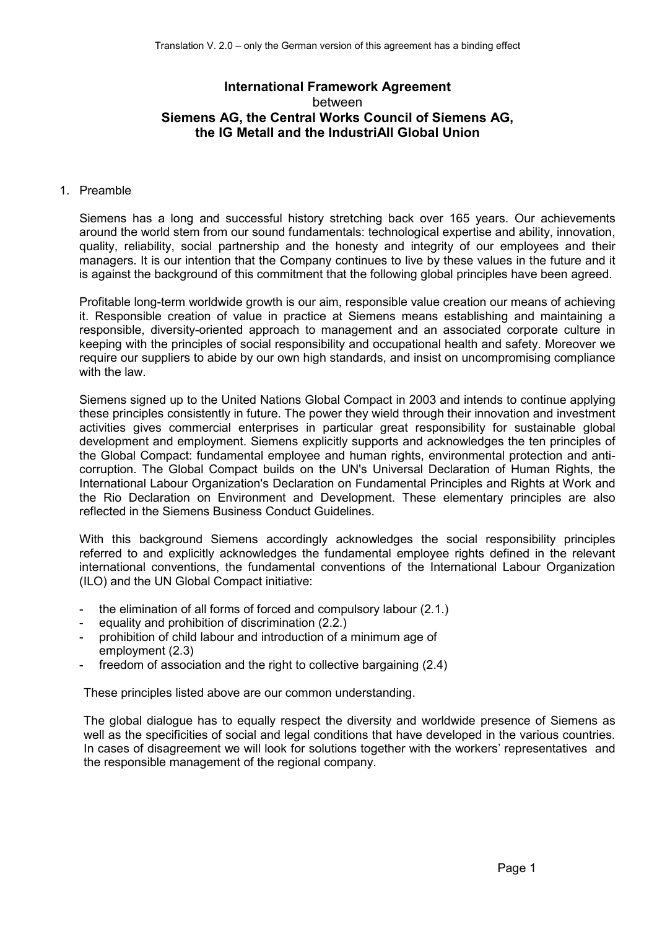# **International Framework Agreement**  between **Siemens AG, the Central Works Council of Siemens AG, the IG Metall and the IndustriAll Global Union**

# 1. Preamble

Siemens has a long and successful history stretching back over 165 years. Our achievements around the world stem from our sound fundamentals: technological expertise and ability, innovation, quality, reliability, social partnership and the honesty and integrity of our employees and their managers. It is our intention that the Company continues to live by these values in the future and it is against the background of this commitment that the following global principles have been agreed.

Profitable long-term worldwide growth is our aim, responsible value creation our means of achieving it. Responsible creation of value in practice at Siemens means establishing and maintaining a responsible, diversity-oriented approach to management and an associated corporate culture in keeping with the principles of social responsibility and occupational health and safety. Moreover we require our suppliers to abide by our own high standards, and insist on uncompromising compliance with the law.

Siemens signed up to the United Nations Global Compact in 2003 and intends to continue applying these principles consistently in future. The power they wield through their innovation and investment activities gives commercial enterprises in particular great responsibility for sustainable global development and employment. Siemens explicitly supports and acknowledges the ten principles of the Global Compact: fundamental employee and human rights, environmental protection and anticorruption. The Global Compact builds on the UN's Universal Declaration of Human Rights, the International Labour Organization's Declaration on Fundamental Principles and Rights at Work and the Rio Declaration on Environment and Development. These elementary principles are also reflected in the Siemens Business Conduct Guidelines.

With this background Siemens accordingly acknowledges the social responsibility principles referred to and explicitly acknowledges the fundamental employee rights defined in the relevant international conventions, the fundamental conventions of the International Labour Organization (ILO) and the UN Global Compact initiative:

- the elimination of all forms of forced and compulsory labour (2.1.)
- equality and prohibition of discrimination (2.2.)
- prohibition of child labour and introduction of a minimum age of employment (2.3)
- freedom of association and the right to collective bargaining (2.4)

These principles listed above are our common understanding.

The global dialogue has to equally respect the diversity and worldwide presence of Siemens as well as the specificities of social and legal conditions that have developed in the various countries. In cases of disagreement we will look for solutions together with the workers' representatives and the responsible management of the regional company.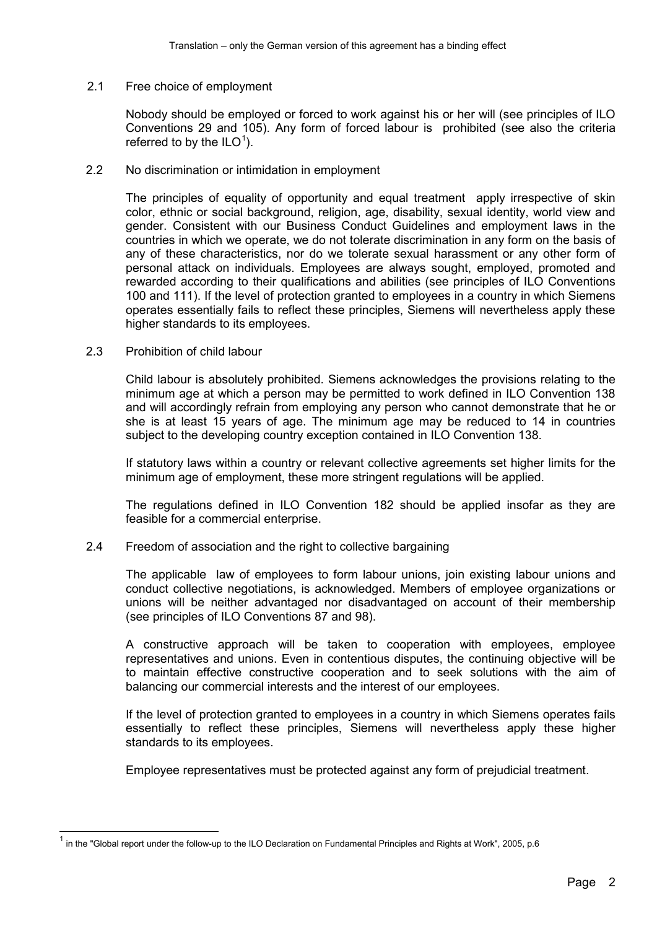2.1 Free choice of employment

Nobody should be employed or forced to work against his or her will (see principles of ILO Conventions 29 and 105). Any form of forced labour is prohibited (see also the criteria referred to by the  $ILO<sup>1</sup>$  $ILO<sup>1</sup>$  $ILO<sup>1</sup>$ ).

2.2 No discrimination or intimidation in employment

The principles of equality of opportunity and equal treatment apply irrespective of skin color, ethnic or social background, religion, age, disability, sexual identity, world view and gender. Consistent with our Business Conduct Guidelines and employment laws in the countries in which we operate, we do not tolerate discrimination in any form on the basis of any of these characteristics, nor do we tolerate sexual harassment or any other form of personal attack on individuals. Employees are always sought, employed, promoted and rewarded according to their qualifications and abilities (see principles of ILO Conventions 100 and 111). If the level of protection granted to employees in a country in which Siemens operates essentially fails to reflect these principles, Siemens will nevertheless apply these higher standards to its employees.

2.3 Prohibition of child labour

Child labour is absolutely prohibited. Siemens acknowledges the provisions relating to the minimum age at which a person may be permitted to work defined in ILO Convention 138 and will accordingly refrain from employing any person who cannot demonstrate that he or she is at least 15 years of age. The minimum age may be reduced to 14 in countries subject to the developing country exception contained in ILO Convention 138.

If statutory laws within a country or relevant collective agreements set higher limits for the minimum age of employment, these more stringent regulations will be applied.

The regulations defined in ILO Convention 182 should be applied insofar as they are feasible for a commercial enterprise.

2.4 Freedom of association and the right to collective bargaining

The applicable law of employees to form labour unions, join existing labour unions and conduct collective negotiations, is acknowledged. Members of employee organizations or unions will be neither advantaged nor disadvantaged on account of their membership (see principles of ILO Conventions 87 and 98).

A constructive approach will be taken to cooperation with employees, employee representatives and unions. Even in contentious disputes, the continuing objective will be to maintain effective constructive cooperation and to seek solutions with the aim of balancing our commercial interests and the interest of our employees.

If the level of protection granted to employees in a country in which Siemens operates fails essentially to reflect these principles, Siemens will nevertheless apply these higher standards to its employees.

Employee representatives must be protected against any form of prejudicial treatment.

<span id="page-1-0"></span>in the "Global report under the follow-up to the ILO Declaration on Fundamental Principles and Rights at Work", 2005, p.6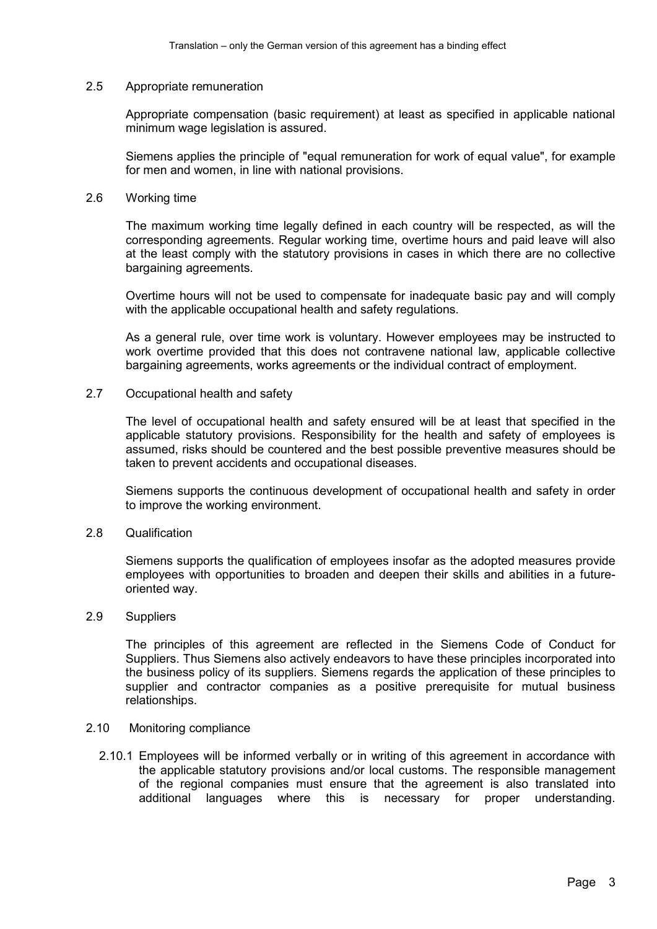#### 2.5 Appropriate remuneration

Appropriate compensation (basic requirement) at least as specified in applicable national minimum wage legislation is assured.

Siemens applies the principle of "equal remuneration for work of equal value", for example for men and women, in line with national provisions.

#### 2.6 Working time

The maximum working time legally defined in each country will be respected, as will the corresponding agreements. Regular working time, overtime hours and paid leave will also at the least comply with the statutory provisions in cases in which there are no collective bargaining agreements.

Overtime hours will not be used to compensate for inadequate basic pay and will comply with the applicable occupational health and safety regulations.

As a general rule, over time work is voluntary. However employees may be instructed to work overtime provided that this does not contravene national law, applicable collective bargaining agreements, works agreements or the individual contract of employment.

### 2.7 Occupational health and safety

The level of occupational health and safety ensured will be at least that specified in the applicable statutory provisions. Responsibility for the health and safety of employees is assumed, risks should be countered and the best possible preventive measures should be taken to prevent accidents and occupational diseases.

Siemens supports the continuous development of occupational health and safety in order to improve the working environment.

# 2.8 Qualification

Siemens supports the qualification of employees insofar as the adopted measures provide employees with opportunities to broaden and deepen their skills and abilities in a futureoriented way.

# 2.9 Suppliers

The principles of this agreement are reflected in the Siemens Code of Conduct for Suppliers. Thus Siemens also actively endeavors to have these principles incorporated into the business policy of its suppliers. Siemens regards the application of these principles to supplier and contractor companies as a positive prerequisite for mutual business relationships.

#### 2.10 Monitoring compliance

2.10.1 Employees will be informed verbally or in writing of this agreement in accordance with the applicable statutory provisions and/or local customs. The responsible management of the regional companies must ensure that the agreement is also translated into additional languages where this is necessary for proper understanding.